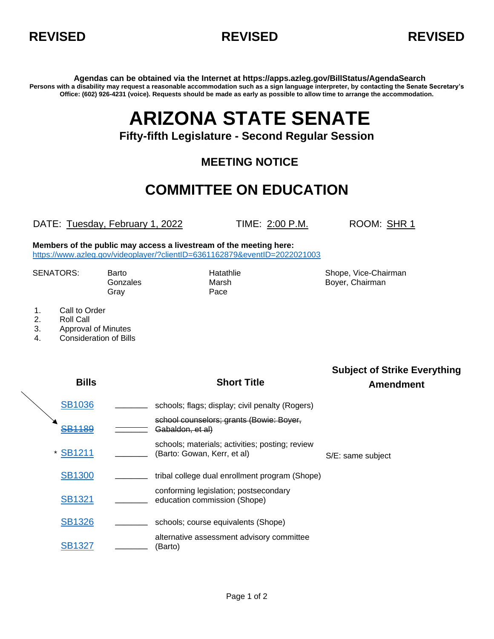



**Agendas can be obtained via the Internet at https://apps.azleg.gov/BillStatus/AgendaSearch Persons with a disability may request a reasonable accommodation such as a sign language interpreter, by contacting the Senate Secretary's Office: (602) 926-4231 (voice). Requests should be made as early as possible to allow time to arrange the accommodation.**

# **ARIZONA STATE SENATE**

### **Fifty-fifth Legislature - Second Regular Session**

### **MEETING NOTICE**

## **COMMITTEE ON EDUCATION**

DATE: Tuesday, February 1, 2022 TIME: 2:00 P.M. ROOM: SHR 1

**Members of the public may access a livestream of the meeting here:**  <https://www.azleg.gov/videoplayer/?clientID=6361162879&eventID=2022021003>

Gray **Pace** 

SENATORS: Barto **Barto Chairman** Hatathlie Shope, Vice-Chairman Gonzales Marsh Marsh Boyer, Chairman

- 1. Call to Order
- 2. Roll Call
- 3. Approval of Minutes
- 4. Consideration of Bills

| <b>Bills</b>  | <b>Short Title</b>                                                             | <b>Subject of Strike Everything</b><br><b>Amendment</b> |
|---------------|--------------------------------------------------------------------------------|---------------------------------------------------------|
| <b>SB1036</b> | schools; flags; display; civil penalty (Rogers)                                |                                                         |
| <b>SB1189</b> | school counselors; grants (Bowie: Boyer,<br>Gabaldon, et al)                   |                                                         |
| * SB1211      | schools; materials; activities; posting; review<br>(Barto: Gowan, Kerr, et al) | S/E: same subject                                       |
| <b>SB1300</b> | tribal college dual enrollment program (Shope)                                 |                                                         |
| <b>SB1321</b> | conforming legislation; postsecondary<br>education commission (Shope)          |                                                         |
| <b>SB1326</b> | schools; course equivalents (Shope)                                            |                                                         |
| <b>SB1327</b> | alternative assessment advisory committee<br>(Barto)                           |                                                         |